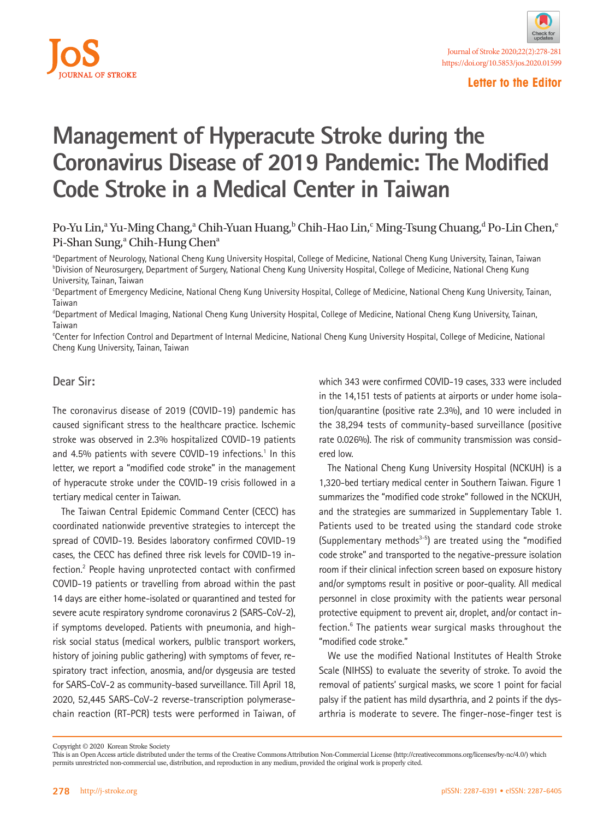

### **Letter to the Editor**

# **Management of Hyperacute Stroke during the Coronavirus Disease of 2019 Pandemic: The Modified Code Stroke in a Medical Center in Taiwan**

## Po-Yu Lin,<sup>a</sup> Yu-Ming Chang,<sup>a</sup> Chih-Yuan Huang,<sup>b</sup> Chih-Hao Lin,<sup>c</sup> Ming-Tsung Chuang,<sup>d</sup> Po-Lin Chen,<sup>e</sup> Pi-Shan Sung,<sup>a</sup> Chih-Hung Chen<sup>a</sup>

a Department of Neurology, National Cheng Kung University Hospital, College of Medicine, National Cheng Kung University, Tainan, Taiwan b Division of Neurosurgery, Department of Surgery, National Cheng Kung University Hospital, College of Medicine, National Cheng Kung University, Tainan, Taiwan

c Department of Emergency Medicine, National Cheng Kung University Hospital, College of Medicine, National Cheng Kung University, Tainan, Taiwan

d Department of Medical Imaging, National Cheng Kung University Hospital, College of Medicine, National Cheng Kung University, Tainan, Taiwan

e Center for Infection Control and Department of Internal Medicine, National Cheng Kung University Hospital, College of Medicine, National Cheng Kung University, Tainan, Taiwan

### **Dear Sir:**

The coronavirus disease of 2019 (COVID-19) pandemic has caused significant stress to the healthcare practice. Ischemic stroke was observed in 2.3% hospitalized COVID-19 patients and 4.5% patients with severe COVID-19 infections.<sup>1</sup> In this letter, we report a "modified code stroke" in the management of hyperacute stroke under the COVID-19 crisis followed in a tertiary medical center in Taiwan.

The Taiwan Central Epidemic Command Center (CECC) has coordinated nationwide preventive strategies to intercept the spread of COVID-19. Besides laboratory confirmed COVID-19 cases, the CECC has defined three risk levels for COVID-19 infection.<sup>2</sup> People having unprotected contact with confirmed COVID-19 patients or travelling from abroad within the past 14 days are either home-isolated or quarantined and tested for severe acute respiratory syndrome coronavirus 2 (SARS-CoV-2), if symptoms developed. Patients with pneumonia, and highrisk social status (medical workers, pulblic transport workers, history of joining public gathering) with symptoms of fever, respiratory tract infection, anosmia, and/or dysgeusia are tested for SARS-CoV-2 as community-based surveillance. Till April 18, 2020, 52,445 SARS-CoV-2 reverse-transcription polymerasechain reaction (RT-PCR) tests were performed in Taiwan, of

which 343 were confirmed COVID-19 cases, 333 were included in the 14,151 tests of patients at airports or under home isolation/quarantine (positive rate 2.3%), and 10 were included in the 38,294 tests of community-based surveillance (positive rate 0.026%). The risk of community transmission was considered low.

The National Cheng Kung University Hospital (NCKUH) is a 1,320-bed tertiary medical center in Southern Taiwan. Figure 1 summarizes the "modified code stroke" followed in the NCKUH, and the strategies are summarized in Supplementary Table 1. Patients used to be treated using the standard code stroke (Supplementary methods $3-5$ ) are treated using the "modified code stroke" and transported to the negative-pressure isolation room if their clinical infection screen based on exposure history and/or symptoms result in positive or poor-quality. All medical personnel in close proximity with the patients wear personal protective equipment to prevent air, droplet, and/or contact infection.<sup>6</sup> The patients wear surgical masks throughout the "modified code stroke."

We use the modified National Institutes of Health Stroke Scale (NIHSS) to evaluate the severity of stroke. To avoid the removal of patients' surgical masks, we score 1 point for facial palsy if the patient has mild dysarthria, and 2 points if the dysarthria is moderate to severe. The finger-nose-finger test is

Copyright © 2020 Korean Stroke Society

This is an Open Access article distributed under the terms of the Creative Commons Attribution Non-Commercial License (http://creativecommons.org/licenses/by-nc/4.0/) which permits unrestricted non-commercial use, distribution, and reproduction in any medium, provided the original work is properly cited.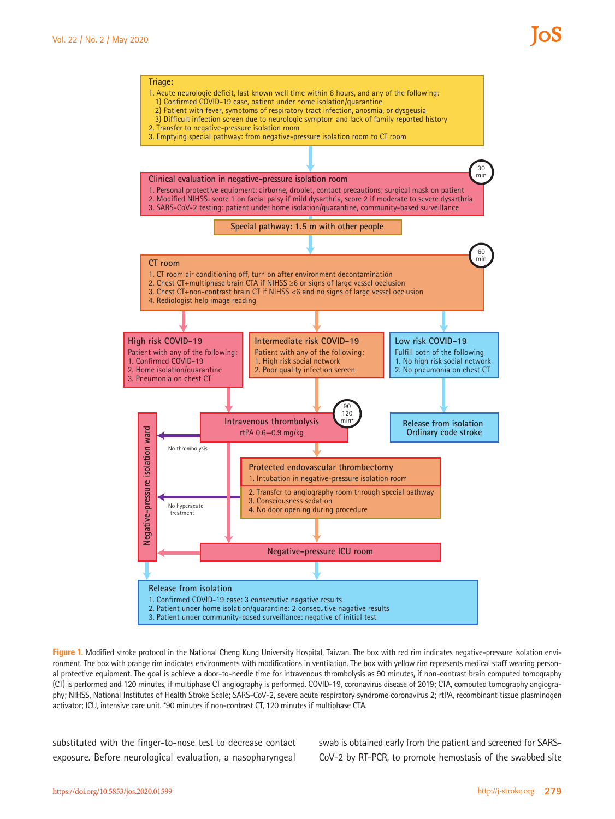

**Figure 1.** Modified stroke protocol in the National Cheng Kung University Hospital, Taiwan. The box with red rim indicates negative-pressure isolation environment. The box with orange rim indicates environments with modifications in ventilation. The box with yellow rim represents medical staff wearing personal protective equipment. The goal is achieve a door-to-needle time for intravenous thrombolysis as 90 minutes, if non-contrast brain computed tomography (CT) is performed and 120 minutes, if multiphase CT angiography is performed. COVID-19, coronavirus disease of 2019; CTA, computed tomography angiography; NIHSS, National Institutes of Health Stroke Scale; SARS-CoV-2, severe acute respiratory syndrome coronavirus 2; rtPA, recombinant tissue plasminogen activator; ICU, intensive care unit. \*90 minutes if non-contrast CT, 120 minutes if multiphase CTA.

substituted with the finger-to-nose test to decrease contact exposure. Before neurological evaluation, a nasopharyngeal

swab is obtained early from the patient and screened for SARS-CoV-2 by RT-PCR, to promote hemostasis of the swabbed site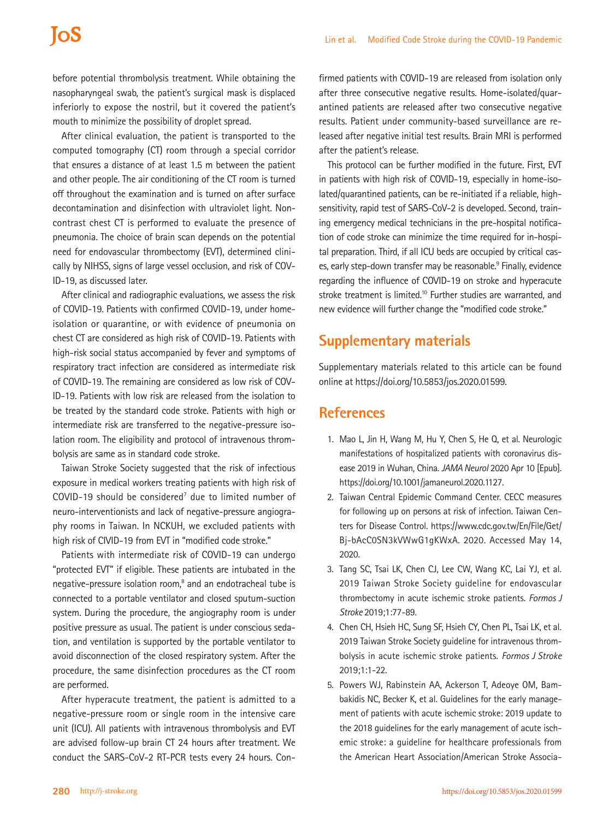## **IOS**

before potential thrombolysis treatment. While obtaining the nasopharyngeal swab, the patient's surgical mask is displaced inferiorly to expose the nostril, but it covered the patient's mouth to minimize the possibility of droplet spread.

After clinical evaluation, the patient is transported to the computed tomography (CT) room through a special corridor that ensures a distance of at least 1.5 m between the patient and other people. The air conditioning of the CT room is turned off throughout the examination and is turned on after surface decontamination and disinfection with ultraviolet light. Noncontrast chest CT is performed to evaluate the presence of pneumonia. The choice of brain scan depends on the potential need for endovascular thrombectomy (EVT), determined clinically by NIHSS, signs of large vessel occlusion, and risk of COV-ID-19, as discussed later.

After clinical and radiographic evaluations, we assess the risk of COVID-19. Patients with confirmed COVID-19, under homeisolation or quarantine, or with evidence of pneumonia on chest CT are considered as high risk of COVID-19. Patients with high-risk social status accompanied by fever and symptoms of respiratory tract infection are considered as intermediate risk of COVID-19. The remaining are considered as low risk of COV-ID-19. Patients with low risk are released from the isolation to be treated by the standard code stroke. Patients with high or intermediate risk are transferred to the negative-pressure isolation room. The eligibility and protocol of intravenous thrombolysis are same as in standard code stroke.

Taiwan Stroke Society suggested that the risk of infectious exposure in medical workers treating patients with high risk of  $COV$ ID-19 should be considered<sup>7</sup> due to limited number of neuro-interventionists and lack of negative-pressure angiography rooms in Taiwan. In NCKUH, we excluded patients with high risk of CIVID-19 from EVT in "modified code stroke."

Patients with intermediate risk of COVID-19 can undergo "protected EVT" if eligible. These patients are intubated in the negative-pressure isolation room,<sup>8</sup> and an endotracheal tube is connected to a portable ventilator and closed sputum-suction system. During the procedure, the angiography room is under positive pressure as usual. The patient is under conscious sedation, and ventilation is supported by the portable ventilator to avoid disconnection of the closed respiratory system. After the procedure, the same disinfection procedures as the CT room are performed.

After hyperacute treatment, the patient is admitted to a negative-pressure room or single room in the intensive care unit (ICU). All patients with intravenous thrombolysis and EVT are advised follow-up brain CT 24 hours after treatment. We conduct the SARS-CoV-2 RT-PCR tests every 24 hours. Con-

firmed patients with COVID-19 are released from isolation only after three consecutive negative results. Home-isolated/quarantined patients are released after two consecutive negative results. Patient under community-based surveillance are released after negative initial test results. Brain MRI is performed after the patient's release.

This protocol can be further modified in the future. First, EVT in patients with high risk of COVID-19, especially in home-isolated/quarantined patients, can be re-initiated if a reliable, highsensitivity, rapid test of SARS-CoV-2 is developed. Second, training emergency medical technicians in the pre-hospital notification of code stroke can minimize the time required for in-hospital preparation. Third, if all ICU beds are occupied by critical cases, early step-down transfer may be reasonable.<sup>9</sup> Finally, evidence regarding the influence of COVID-19 on stroke and hyperacute stroke treatment is limited.<sup>10</sup> Further studies are warranted, and new evidence will further change the "modified code stroke."

## **Supplementary materials**

Supplementary materials related to this article can be found online at https://doi.org/10.5853/jos.2020.01599.

## **References**

- 1. Mao L, Jin H, Wang M, Hu Y, Chen S, He Q, et al. Neurologic manifestations of hospitalized patients with coronavirus disease 2019 in Wuhan, China. *JAMA Neurol* 2020 Apr 10 [Epub]. https://doi.org/10.1001/jamaneurol.2020.1127.
- 2. Taiwan Central Epidemic Command Center. CECC measures for following up on persons at risk of infection. Taiwan Centers for Disease Control. [https://www.cdc.gov.tw/En/File/Get/](https://www.cdc.gov.tw/En/File/Get/Bj-bAcC0SN3kVWwG1gKWxA) [Bj-bAcC0SN3kVWwG1gKWxA.](https://www.cdc.gov.tw/En/File/Get/Bj-bAcC0SN3kVWwG1gKWxA) 2020. Accessed May 14, 2020.
- 3. Tang SC, Tsai LK, Chen CJ, Lee CW, Wang KC, Lai YJ, et al. 2019 Taiwan Stroke Society guideline for endovascular thrombectomy in acute ischemic stroke patients. *Formos J Stroke* 2019;1:77-89.
- 4. Chen CH, Hsieh HC, Sung SF, Hsieh CY, Chen PL, Tsai LK, et al. 2019 Taiwan Stroke Society guideline for intravenous thrombolysis in acute ischemic stroke patients. *Formos J Stroke* 2019;1:1-22.
- 5. Powers WJ, Rabinstein AA, Ackerson T, Adeoye OM, Bambakidis NC, Becker K, et al. Guidelines for the early management of patients with acute ischemic stroke: 2019 update to the 2018 guidelines for the early management of acute ischemic stroke: a guideline for healthcare professionals from the American Heart Association/American Stroke Associa-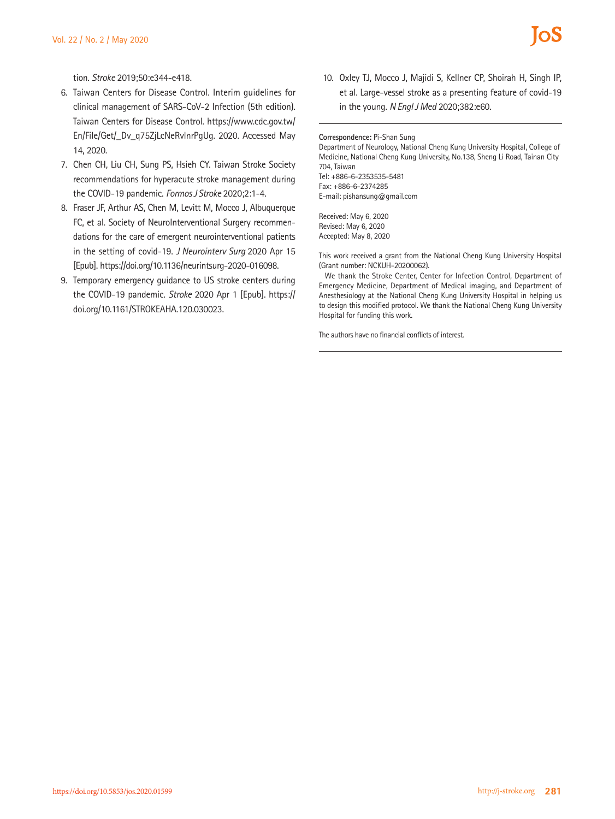tion. *Stroke* 2019;50:e344-e418.

- 6. Taiwan Centers for Disease Control. Interim guidelines for clinical management of SARS-CoV-2 Infection (5th edition). Taiwan Centers for Disease Control. [https://www.cdc.gov.tw/](https://www.cdc.gov.tw/En/File/Get/_Dv_q75ZjLcNeRvlnrPgUg) [En/File/Get/\\_Dv\\_q75ZjLcNeRvlnrPgUg.](https://www.cdc.gov.tw/En/File/Get/_Dv_q75ZjLcNeRvlnrPgUg) 2020. Accessed May 14, 2020.
- 7. Chen CH, Liu CH, Sung PS, Hsieh CY. Taiwan Stroke Society recommendations for hyperacute stroke management during the COVID-19 pandemic. *Formos J Stroke* 2020;2:1-4.
- 8. Fraser JF, Arthur AS, Chen M, Levitt M, Mocco J, Albuquerque FC, et al. Society of NeuroInterventional Surgery recommendations for the care of emergent neurointerventional patients in the setting of covid-19. *J Neurointerv Surg* 2020 Apr 15 [Epub]. https://doi.org/10.1136/neurintsurg-2020-016098.
- 9. Temporary emergency guidance to US stroke centers during the COVID-19 pandemic. *Stroke* 2020 Apr 1 [Epub]. [https://](https://doi.org/10.1161/STROKEAHA.120.030023) [doi.org/10.1161/STROKEAHA.120.030023](https://doi.org/10.1161/STROKEAHA.120.030023).

10. Oxley TJ, Mocco J, Majidi S, Kellner CP, Shoirah H, Singh IP, et al. Large-vessel stroke as a presenting feature of covid-19 in the young. *N Engl J Med* 2020;382:e60.

**Correspondence:** Pi-Shan Sung

Department of Neurology, National Cheng Kung University Hospital, College of Medicine, National Cheng Kung University, No.138, Sheng Li Road, Tainan City 704, Taiwan Tel: +886-6-2353535-5481 Fax: +886-6-2374285 E-mail: [pishansung@gmail.com](mailto:pishansung@gmail.com) Received: May 6, 2020

Revised: May 6, 2020 Accepted: May 8, 2020

This work received a grant from the National Cheng Kung University Hospital (Grant number: NCKUH-20200062).

We thank the Stroke Center, Center for Infection Control, Department of Emergency Medicine, Department of Medical imaging, and Department of Anesthesiology at the National Cheng Kung University Hospital in helping us to design this modified protocol. We thank the National Cheng Kung University Hospital for funding this work.

The authors have no financial conflicts of interest.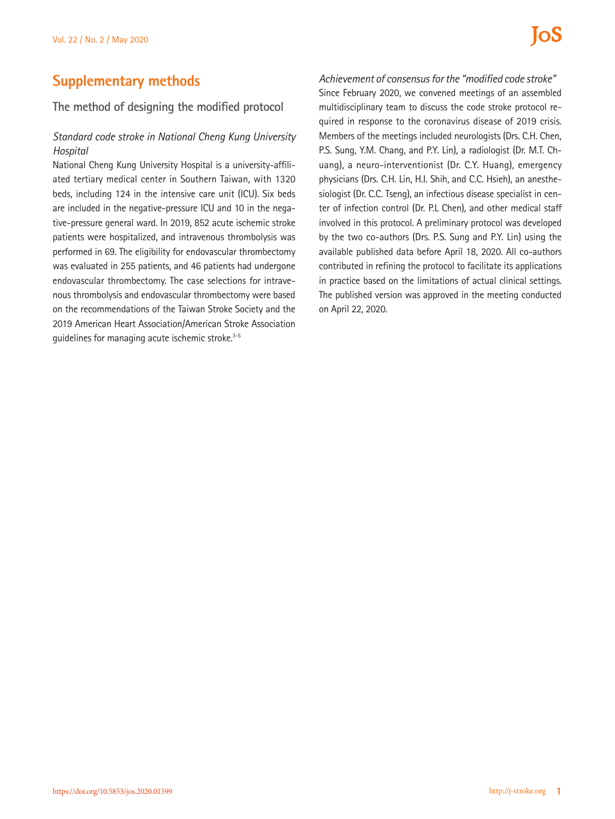## **Supplementary methods**

## **The method of designing the modified protocol**

## *Standard code stroke in National Cheng Kung University Hospital*

National Cheng Kung University Hospital is a university-affiliated tertiary medical center in Southern Taiwan, with 1320 beds, including 124 in the intensive care unit (ICU). Six beds are included in the negative-pressure ICU and 10 in the negative-pressure general ward. In 2019, 852 acute ischemic stroke patients were hospitalized, and intravenous thrombolysis was performed in 69. The eligibility for endovascular thrombectomy was evaluated in 255 patients, and 46 patients had undergone endovascular thrombectomy. The case selections for intravenous thrombolysis and endovascular thrombectomy were based on the recommendations of the Taiwan Stroke Society and the 2019 American Heart Association/American Stroke Association guidelines for managing acute ischemic stroke.<sup>3-5</sup>

*Achievement of consensus for the "modified code stroke"* Since February 2020, we convened meetings of an assembled multidisciplinary team to discuss the code stroke protocol required in response to the coronavirus disease of 2019 crisis. Members of the meetings included neurologists (Drs. C.H. Chen, P.S. Sung, Y.M. Chang, and P.Y. Lin), a radiologist (Dr. M.T. Chuang), a neuro-interventionist (Dr. C.Y. Huang), emergency physicians (Drs. C.H. Lin, H.I. Shih, and C.C. Hsieh), an anesthesiologist (Dr. C.C. Tseng), an infectious disease specialist in center of infection control (Dr. P.L Chen), and other medical staff involved in this protocol. A preliminary protocol was developed by the two co-authors (Drs. P.S. Sung and P.Y. Lin) using the available published data before April 18, 2020. All co-authors contributed in refining the protocol to facilitate its applications in practice based on the limitations of actual clinical settings. The published version was approved in the meeting conducted on April 22, 2020.